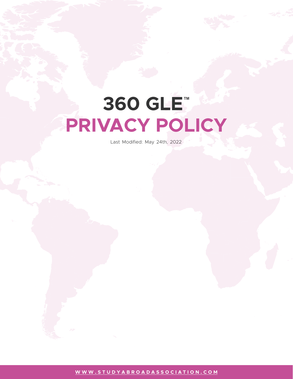# **360 GLE™ PRIVACY POLICY**

Last Modified: May 24th, 2022

**[WWW.STUDYABROADASSOCIATION.COM](http://www.studyabroadassociation.com)**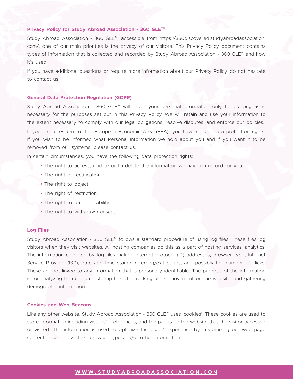### **Privacy Policy for Study Abroad Association - 360 GLE™**

Study Abroad Association - 360 GLE™, accessible from https://360discovered.studyabroadassociation. com/, one of our main priorities is the privacy of our visitors. This Privacy Policy document contains types of information that is collected and recorded by Study Abroad Association - 360 GLE™ and how it's used.

If you have additional questions or require more information about our Privacy Policy, do not hesitate to contact us.

### **General Data Protection Regulation (GDPR)**

Study Abroad Association - 360 GLE™ will retain your personal information only for as long as is necessary for the purposes set out in this Privacy Policy. We will retain and use your information to the extent necessary to comply with our legal obligations, resolve disputes, and enforce our policies. If you are a resident of the European Economic Area (EEA), you have certain data protection rights. If you wish to be informed what Personal Information we hold about you and if you want it to be removed from our systems, please contact us.

In certain circumstances, you have the following data protection rights:

- The right to access, update or to delete the information we have on record for you.
- The right of rectification.
- The right to object.
- The right of restriction.
- The right to data portability
- The right to withdraw consent

### **Log Files**

Study Abroad Association - 360 GLE™ follows a standard procedure of using log files. These files log visitors when they visit websites. All hosting companies do this as a part of hosting services' analytics. The information collected by log files include internet protocol (IP) addresses, browser type, Internet Service Provider (ISP), date and time stamp, referring/exit pages, and possibly the number of clicks. These are not linked to any information that is personally identifiable. The purpose of the information is for analyzing trends, administering the site, tracking users' movement on the website, and gathering demographic information.

# **Cookies and Web Beacons**

Like any other website, Study Abroad Association - 360 GLE™ uses 'cookies'. These cookies are used to store information including visitors' preferences, and the pages on the website that the visitor accessed or visited. The information is used to optimize the users' experience by customizing our web page content based on visitors' browser type and/or other information.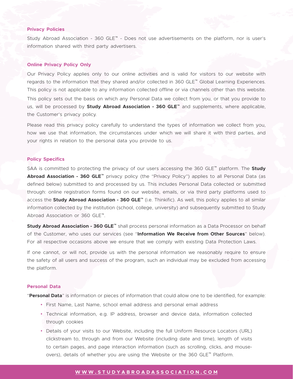# **Privacy Policies**

Study Abroad Association - 360 GLE™ - Does not use advertisements on the platform, nor is user's information shared with third party advertisers.

### **Online Privacy Policy Only**

Our Privacy Policy applies only to our online activities and is valid for visitors to our website with regards to the information that they shared and/or collected in 360 GLE™ Global Learning Experiences. This policy is not applicable to any information collected offline or via channels other than this website. This policy sets out the basis on which any Personal Data we collect from you, or that you provide to us, will be processed by **Study Abroad Association - 360 GLE™** and supplements, where applicable, the Customer's privacy policy.

Please read this privacy policy carefully to understand the types of information we collect from you, how we use that information, the circumstances under which we will share it with third parties, and your rights in relation to the personal data you provide to us.

### **Policy Specifics**

SAA is committed to protecting the privacy of our users accessing the 360 GLE™ platform. The **Study Abroad Association - 360 GLE™** privacy policy (the "Privacy Policy") applies to all Personal Data (as defined below) submitted to and processed by us. This includes Personal Data collected or submitted through: online registration forms found on our website, emails, or via third party platforms used to access the **Study Abroad Association - 360 GLE™** (i.e. Thinkific). As well, this policy applies to all similar information collected by the institution (school, college, university) and subsequently submitted to Study Abroad Association or 360 GLE™.

**Study Abroad Association - 360 GLE™** shall process personal information as a Data Processor on behalf of the Customer, who uses our services (see "**Information We Receive from Other Sources**" below). For all respective occasions above we ensure that we comply with existing Data Protection Laws.

If one cannot, or will not, provide us with the personal information we reasonably require to ensure the safety of all users and success of the program, such an individual may be excluded from accessing the platform.

### **Personal Data**

"**Personal Data**" is information or pieces of information that could allow one to be identified, for example:

- First Name, Last Name, school email address and personal email address
- Technical information, e.g. IP address, browser and device data, information collected through cookies
- Details of your visits to our Website, including the full Uniform Resource Locators (URL) clickstream to, through and from our Website (including date and time), length of visits to certain pages, and page interaction information (such as scrolling, clicks, and mouseovers), details of whether you are using the Website or the 360 GLE™ Platform.

# **[WWW.STUDYABROADASSOCIATION.COM](http://www.studyabroadassociation.com)**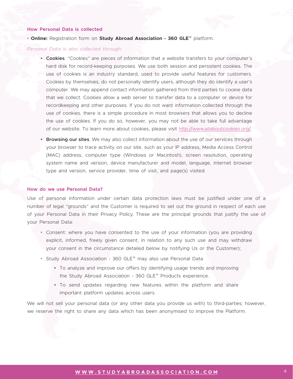## **How Personal Data is collected**

• **Online:** Registration form on **Study Abroad Association - 360 GLE™** platform.

### *Personal Data is also collected through:*

- **Cookies**. "Cookies" are pieces of information that a website transfers to your computer's hard disk for record-keeping purposes. We use both session and persistent cookies. The use of cookies is an industry standard, used to provide useful features for customers. Cookies by themselves, do not personally identify users, although they do identify a user's computer. We may append contact information gathered from third parties to cookie data that we collect. Cookies allow a web server to transfer data to a computer or device for recordkeeping and other purposes. If you do not want information collected through the use of cookies, there is a simple procedure in most browsers that allows you to decline the use of cookies. If you do so, however, you may not be able to take full advantage of our website. To learn more about cookies, please visit [http://www.allaboutcookies.org/.](https://allaboutcookies.org/)
- **Browsing our sites**. We may also collect information about the use of our services through your browser to trace activity on our site, such as your IP address, Media Access Control (MAC) address, computer type (Windows or Macintosh), screen resolution, operating system name and version, device manufacturer and model, language, Internet browser type and version, service provider, time of visit, and page(s) visited.

### **How do we use Personal Data?**

Use of personal information under certain data protection laws must be justified under one of a number of legal "grounds" and the Customer is required to set out the ground in respect of each use of your Personal Data in their Privacy Policy. These are the principal grounds that justify the use of your Personal Data:

- Consent: where you have consented to the use of your information (you are providing explicit, informed, freely given consent, in relation to any such use and may withdraw your consent in the circumstance detailed below by notifying Us or the Customer);
- Study Abroad Association 360 GLE™ may also use Personal Data
	- To analyze and improve our offers by identifying usage trends and improving the Study Abroad Association - 360 GLE™ Products experience.
	- To send updates regarding new features within the platform and share important platform updates across users.

We will not sell your personal data (or any other data you provide us with) to third-parties; however, we reserve the right to share any data which has been anonymised to improve the Platform.